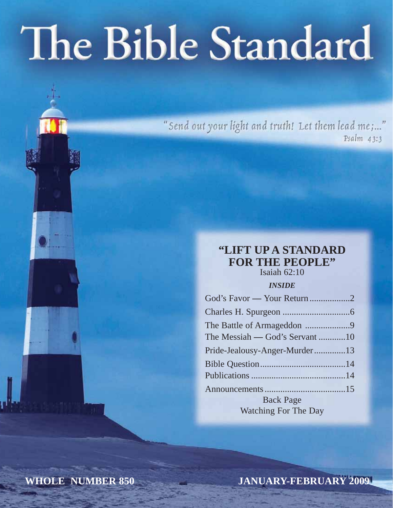# The Bible Standard

"Send out your light and truth! Let them lead me;..."  $Psalm$  43:3

# **"LIFT UP A STANDARD FOR THE PEOPLE"**

Isaiah 62:10

# *INSIDE*

| The Messiah — God's Servant 10 |  |
|--------------------------------|--|
| Pride-Jealousy-Anger-Murder13  |  |
|                                |  |
|                                |  |
|                                |  |
| <b>Back Page</b>               |  |
| <b>Watching For The Day</b>    |  |

**WHOLE NUMBER 850**

**JANUARY-FEBRUARY 2009**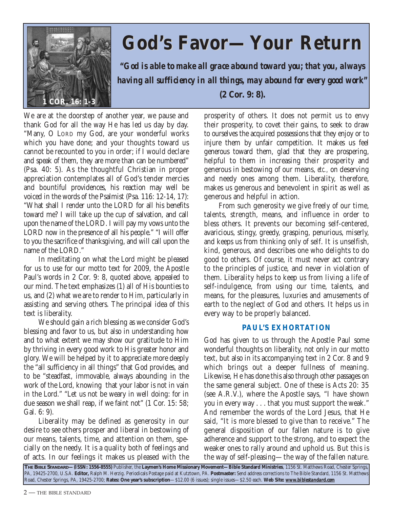

# **God's Favor s Favor—Your Return our Return**

*"God is able to make all grace abound toward you; that you, always having all sufficiency in all things, may abound for every good work"* **(2 Cor. 9: 8).** 

We are at the doorstep of another year, we pause and thank God for all the way He has led us day by day. "Many, O LORD my God, are your wonderful works which you have done; and your thoughts toward us cannot be recounted to you in order; if I would declare and speak of them, they are more than can be numbered" (Psa. 40: 5). As the thoughtful Christian in proper appreciation contemplates all of God's tender mercies and bountiful providences, his reaction may well be voiced in the words of the Psalmist (Psa. 116: 12-14, 17): "What shall I render unto the LORD for all his benefits toward me? I will take up the cup of salvation, and call upon the name of the LORD. I will pay my vows unto the LORD now in the presence of all his people." "I will offer to you the sacrifice of thanksgiving, and will call upon the name of the LORD."

In meditating on what the Lord might be pleased for us to use for our motto text for 2009, the Apostle Paul's words in 2 Cor. 9: 8, quoted above, appealed to our mind. The text emphasizes (1) all of His bounties to us, and (2) what we are to render to Him, particularly in assisting and serving others. The principal idea of this text is liberality.

We should gain a rich blessing as we consider God's blessing and favor to us, but also in understanding how and to what extent we may show our gratitude to Him by thriving in every good work to His greater honor and glory. We will be helped by it to appreciate more deeply the "all sufficiency in all things" that God provides, and to be "steadfast, immovable, always abounding in the work of the Lord, knowing that your labor is not in vain in the Lord." "Let us not be weary in well doing: for in due season we shall reap, if we faint not" (1 Cor. 15: 58; Gal. 6: 9).

Liberality may be defined as generosity in our desire to see others prosper and liberal in bestowing of our means, talents, time, and attention on them, specially on the needy. It is a quality both of feelings and of acts. In our feelings it makes us pleased with the

prosperity of others. It does not permit us to envy their prosperity, to covet their gains, to seek to draw to ourselves the acquired possessions that they enjoy or to injure them by unfair competition. It makes us feel generous toward them, glad that they are prospering, helpful to them in increasing their prosperity and generous in bestowing of our means, *etc.,* on deserving and needy ones among them. Liberality, therefore, makes us generous and benevolent in spirit as well as generous and helpful in action.

From such generosity we give freely of our time, talents, strength, means, and influence in order to bless others. It prevents our becoming self-centered, avaricious, stingy, greedy, grasping, penurious, miserly, and keeps us from thinking only of self. It is unselfish, kind, generous, and describes one who delights to do good to others. Of course, it must never act contrary to the principles of justice, and never in violation of them. Liberality helps to keep us from living a life of self-indulgence, from using our time, talents, and means, for the pleasures, luxuries and amusements of earth to the neglect of God and others. It helps us in every way to be properly balanced.

# **PAUL'S EXHORTATION**

God has given to us through the Apostle Paul some wonderful thoughts on liberality, not only in our motto text, but also in its accompanying text in 2 Cor. 8 and 9 which brings out a deeper fullness of meaning. Likewise, He has done this also through other passages on the same general subject. One of these is Acts 20: 35 (see A.R.V.), where the Apostle says, "I have shown you in every way . . . that you must support the weak." And remember the words of the Lord Jesus, that He said, "It is more blessed to give than to receive." The general disposition of our fallen nature is to give adherence and support to the strong, and to expect the weaker ones to rally around and uphold us. But this is the way of self-pleasing—the way of the fallen nature.

**THE BIBLE STANDARD—(ISSN: 1556-8555)** Publisher, the **Laymen's Home Missionary Movement—Bible Standard Ministries**, 1156 St. Matthews Road, Chester Springs, PA, 19425-2700, U.S.A. **Editor,** Ralph M. Herzig. Periodicals Postage paid at Kutztown, PA. **Postmaster:** Send address corrections to The Bible Standard, 1156 St. Matthews Road, Chester Springs, PA, 19425-2700; **Rates: One year's subscription**—\$12.00 (6 issues); single issues—\$2.50 each. **Web Site:** *www.biblestandard.com*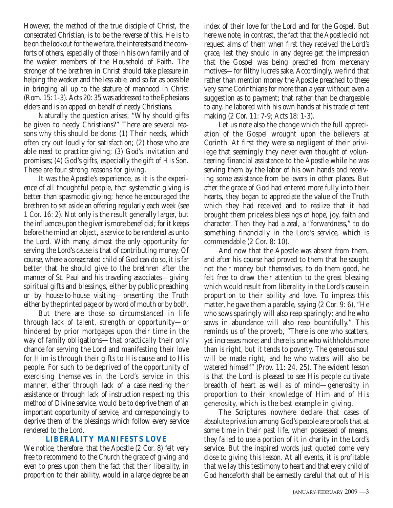However, the method of the true disciple of Christ, the consecrated Christian, is to be the reverse of this. He is to be on the lookout for the welfare, the interests and the comforts of others, especially of those in his own family and of the weaker members of the Household of Faith. The stronger of the brethren in Christ should take pleasure in helping the weaker and the less able, and so far as possible in bringing all up to the stature of manhood in Christ (Rom. 15: 1-3). Acts 20: 35 was addressed to the Ephesians elders and is an appeal on behalf of needy Christians.

Naturally the question arises, "Why should gifts be given to needy Christians?" There are several reasons why this should be done: (1) Their needs, which often cry out loudly for satisfaction; (2) those who are able need to practice giving; (3) God's invitation and promises; (4) God's gifts, especially the gift of His Son. These are four strong reasons for giving.

It was the Apostle's experience, as it is the experience of all thoughtful people, that systematic giving is better than spasmodic giving; hence he encouraged the brethren to set aside an offering regularly each week (see 1 Cor. 16: 2). Not only is the result generally larger, but the influence upon the giver is more beneficial; for it keeps before the mind an object, a service to be rendered as unto the Lord. With many, almost the only opportunity for serving the Lord's cause is that of contributing money. Of course, where a consecrated child of God can do so, it is far better that he should give to the brethren after the manner of St. Paul and his traveling associates—giving spiritual gifts and blessings, either by public preaching or by house-to-house visiting—presenting the Truth either by the printed page or by word of mouth or by both.

But there are those so circumstanced in life through lack of talent, strength or opportunity—or hindered by prior mortgages upon their time in the way of family obligations—that practically their only chance for serving the Lord and manifesting their love for Him is through their gifts to His cause and to His people. For such to be deprived of the opportunity of exercising themselves in the Lord's service in this manner, either through lack of a case needing their assistance or through lack of instruction respecting this method of Divine service, would be to deprive them of an important opportunity of service, and correspondingly to deprive them of the blessings which follow every service rendered to the Lord.

# **LIBERALITY MANIFESTS LOVE**

We notice, therefore, that the Apostle (2 Cor. 8) felt very free to recommend to the Church the grace of giving and even to press upon them the fact that their liberality, in proportion to their ability, would in a large degree be an

index of their love for the Lord and for the Gospel. But here we note, in contrast, the fact that the Apostle did not request alms of them when first they received the Lord's grace, lest they should in any degree get the impression that the Gospel was being preached from mercenary motives—for filthy lucre's sake. Accordingly, we find that rather than mention money the Apostle preached to these very same Corinthians for more than a year without even a suggestion as to payment; that rather than be chargeable to any, he labored with his own hands at his trade of tent making (2 Cor. 11: 7-9; Acts 18: 1-3).

Let us note also the change which the full appreciation of the Gospel wrought upon the believers at Corinth. At first they were so negligent of their privilege that seemingly they never even thought of volunteering financial assistance to the Apostle while he was serving them by the labor of his own hands and receiving some assistance from believers in other places. But after the grace of God had entered more fully into their hearts, they began to appreciate the value of the Truth which they had received and to realize that it had brought them priceless blessings of hope, joy, faith and character. Then they had a zeal, a "forwardness," to do something financially in the Lord's service, which is commendable (2 Cor. 8: 10).

And now that the Apostle was absent from them, and after his course had proved to them that he sought not their money but themselves, to do them good, he felt free to draw their attention to the great blessing which would result from liberality in the Lord's cause in proportion to their ability and love. To impress this matter, he gave them a parable, saying (2 Cor. 9: 6), "He who sows sparingly will also reap sparingly; and he who sows in abundance will also reap bountifully." This reminds us of the proverb, "There is one who scatters, yet increases more; and there is one who withholds more than is right, but it tends to poverty. The generous soul will be made right, and he who waters will also be watered himself" (Prov. 11: 24, 25). The evident lesson is that the Lord is pleased to see His people cultivate breadth of heart as well as of mind—generosity in proportion to their knowledge of Him and of His generosity, which is the best example in giving.

The Scriptures nowhere declare that cases of absolute privation among God's people are proofs that at some time in their past life, when possessed of means, they failed to use a portion of it in charity in the Lord's service. But the inspired words just quoted come very close to giving this lesson. At all events, it is profitable that we lay this testimony to heart and that every child of God henceforth shall be earnestly careful that out of His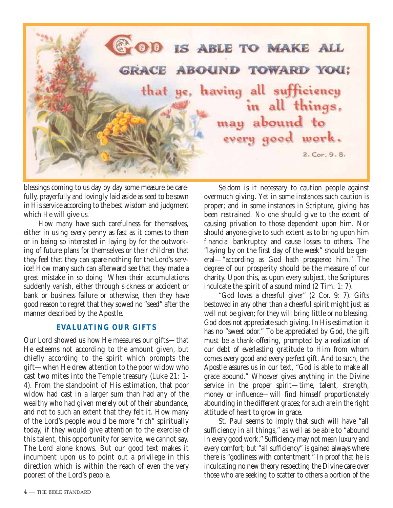

blessings coming to us day by day some measure be carefully, prayerfully and lovingly laid aside as seed to be sown in His service according to the best wisdom and judgment which He will give us.

How many have such carefulness for themselves, either in using every penny as fast as it comes to them or in being so interested in laying by for the outworking of future plans for themselves or their children that they feel that they can spare nothing for the Lord's service! How many such can afterward see that they made a great mistake in so doing! When their accumulations suddenly vanish, either through sickness or accident or bank or business failure or otherwise, then they have good reason to regret that they sowed no "seed" after the manner described by the Apostle.

# **EVALUATING OUR GIFTS**

Our Lord showed us how He measures our gifts—that He esteems not according to the amount given, but chiefly according to the spirit which prompts the gift—when He drew attention to the poor widow who cast two mites into the Temple treasury (Luke 21: 1- 4). From the standpoint of His estimation, that poor widow had cast in a larger sum than had any of the wealthy who had given merely out of their abundance, and not to such an extent that they felt it. How many of the Lord's people would be more "rich" spiritually today, if they would give attention to the exercise of this talent, this opportunity for service, we cannot say. The Lord alone knows. But our good text makes it incumbent upon us to point out a privilege in this direction which is within the reach of even the very poorest of the Lord's people.

Seldom is it necessary to caution people against overmuch giving. Yet in some instances such caution is proper; and in some instances in Scripture, giving has been restrained. No one should give to the extent of causing privation to those dependent upon him. Nor should anyone give to such extent as to bring upon him financial bankruptcy and cause losses to others. The "laying by on the first day of the week" should be general—"according as God hath prospered him." The degree of our prosperity should be the measure of our charity. Upon this, as upon every subject, the Scriptures inculcate the spirit of a sound mind (2 Tim. 1: 7).

"God loves a cheerful giver" (2 Cor. 9: 7). Gifts bestowed in any other than a cheerful spirit might just as well not be given; for they will bring little or no blessing. God does not appreciate such giving. In His estimation it has no "sweet odor." To be appreciated by God, the gift must be a thank-offering, prompted by a realization of our debt of everlasting gratitude to Him from whom comes every good and every perfect gift. And to such, the Apostle assures us in our text, "God is able to make all grace abound." Whoever gives anything in the Divine service in the proper spirit—time, talent, strength, money or influence—will find himself proportionately abounding in the different graces; for such are in the right attitude of heart to grow in grace.

St. Paul seems to imply that such will have "all sufficiency in all things," as well as be able to "abound in every good work." Sufficiency may not mean luxury and every comfort; but "all sufficiency" is gained always where there is "godliness with contentment." In proof that he is inculcating no new theory respecting the Divine care over those who are seeking to scatter to others a portion of the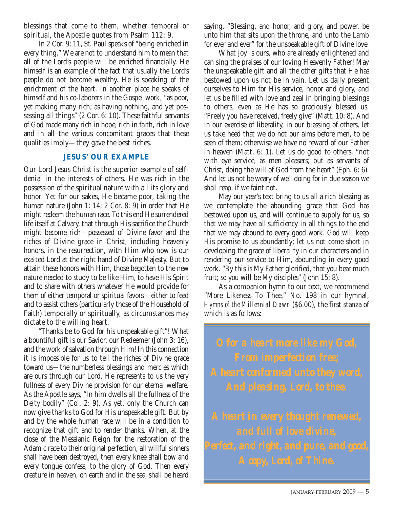blessings that come to them, whether temporal or spiritual, the Apostle quotes from Psalm 112: 9.

In 2 Cor. 9: 11, St. Paul speaks of "being enriched in every thing." We are not to understand him to mean that all of the Lord's people will be enriched financially. He himself is an example of the fact that usually the Lord's people do not become wealthy. He is speaking of the enrichment of the heart. In another place he speaks of himself and his co-laborers in the Gospel work, "as poor, yet making many rich; as having nothing, and yet possessing all things" (2 Cor. 6: 10). These faithful servants of God made many rich in hope, rich in faith, rich in love and in all the various concomitant graces that these qualities imply—they gave the best riches.

# **JESUS' OUR EXAMPLE**

Our Lord Jesus Christ is the superior example of selfdenial in the interests of others. He was rich in the possession of the spiritual nature with all its glory and honor. Yet for our sakes, He became poor, taking the human nature (John 1: 14; 2 Cor. 8: 9) in order that He might redeem the human race. To this end He surrendered life itself at Calvary, that through His sacrifice the Church might become rich—possessed of Divine favor and the riches of Divine grace in Christ, including heavenly honors, in the resurrection, with Him who now is our exalted Lord at the right hand of Divine Majesty. But to attain these honors with Him, those begotten to the new nature needed to study to be like Him, to have His Spirit and to share with others whatever He would provide for them of either temporal or spiritual favors—either to feed and to assist others (particularly those of the Household of Faith) temporally or spiritually, as circumstances may dictate to the willing heart.

"Thanks be to God for his unspeakable gift"! What a bountiful gift is our Savior, our Redeemer (John 3: 16), and the work of salvation through Him! In this connection it is impossible for us to tell the riches of Divine grace toward us—the numberless blessings and mercies which are ours through our Lord. He represents to us the very fullness of every Divine provision for our eternal welfare. As the Apostle says, "In him dwells all the fullness of the Deity bodily" (Col. 2: 9). As yet, only the Church can now give thanks to God for His unspeakable gift. But by and by the whole human race will be in a condition to recognize that gift and to render thanks. When, at the close of the Messianic Reign for the restoration of the Adamic race to their original perfection, all willful sinners shall have been destroyed, then every knee shall bow and every tongue confess, to the glory of God. Then every creature in heaven, on earth and in the sea, shall be heard saying, "Blessing, and honor, and glory, and power, be unto him that sits upon the throne, and unto the Lamb for ever and ever" for the unspeakable gift of Divine love.

What joy is ours, who are already enlightened and can sing the praises of our loving Heavenly Father! May the unspeakable gift and all the other gifts that He has bestowed upon us not be in vain. Let us daily present ourselves to Him for His service, honor and glory, and let us be filled with love and zeal in bringing blessings to others, even as He has so graciously blessed us. "Freely you have received, freely give" (Matt. 10: 8). And in our exercise of liberality, in our blessing of others, let us take heed that we do not our alms before men, to be seen of them; otherwise we have no reward of our Father in heaven (Matt. 6: 1). Let us do good to others, "not with eye service, as men pleasers; but as servants of Christ, doing the will of God from the heart" (Eph. 6: 6). And let us not be weary of well doing for in due season we shall reap, if we faint not.

May our year's text bring to us all a rich blessing as we contemplate the abounding grace that God has bestowed upon us, and will continue to supply for us, so that we may have all sufficiency in all things to the end that we may abound to every good work. God will keep His promise to us abundantly; let us not come short in developing the grace of liberality in our characters and in rendering our service to Him, abounding in every good work. "By this is My Father glorified, that you bear much fruit; so you will be My disciples" (John 15: 8).

As a companion hymn to our text, we recommend "More Likeness To Thee," No. 198 in our hymnal, *Hymns of the Millennial Dawn* (\$6.00), the first stanza of which is as follows: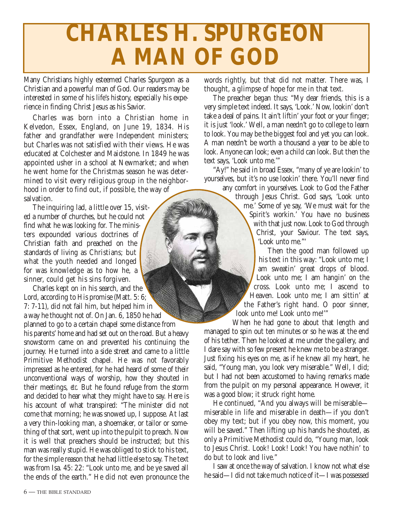# **CHARLES H. SPURGEON A MAN OF GOD**

Many Christians highly esteemed Charles Spurgeon as a Christian and a powerful man of God. Our readers may be interested in some of his life's history, especially his experience in finding Christ Jesus as his Savior.

Charles was born into a Christian home in Kelvedon, Essex, England, on June 19, 1834. His father and grandfather were Independent ministers; but Charles was not satisfied with their views. He was educated at Colchester and Maidstone. In 1849 he was appointed usher in a school at Newmarket; and when he went home for the Christmas season he was determined to visit every religious group in the neighborhood in order to find out, if possible, the way of salvation.

The inquiring lad, a little over 15, visited a number of churches, but he could not find what he was looking for. The ministers expounded various doctrines of Christian faith and preached on the standards of living as Christians; but what the youth needed and longed for was knowledge as to how he, a sinner, could get his sins forgiven.

Charles kept on in his search, and the Lord, according to His promise (Matt. 5: 6; 7: 7-11), did not fail him, but helped him in a way he thought not of. On Jan. 6, 1850 he had planned to go to a certain chapel some distance from his parents' home and had set out on the road. But a heavy snowstorm came on and prevented his continuing the journey. He turned into a side street and came to a little Primitive Methodist chapel. He was not favorably impressed as he entered, for he had heard of some of their unconventional ways of worship, how they shouted in their meetings, *etc.* But he found refuge from the storm and decided to hear what they might have to say. Here is his account of what transpired: "The minister did not come that morning; he was snowed up, I suppose. At last a very thin-looking man, a shoemaker, or tailor or something of that sort, went up into the pulpit to preach. Now it is well that preachers should be instructed; but this man was really stupid. He was obliged to stick to his text, for the simple reason that he had little else to say. The text was from Isa. 45: 22: "Look unto me, and be ye saved all the ends of the earth." He did not even pronounce the

words rightly, but that did not matter. There was, I thought, a glimpse of hope for me in that text.

The preacher began thus: "My dear friends, this is a very simple text indeed. It says, 'Look.' Now, lookin' don't take a deal of pains. It ain't liftin' your foot or your finger; it is just 'look.' Well, a man needn't go to college to learn to look. You may be the biggest fool and yet you can look. A man needn't be worth a thousand a year to be able to look. Anyone can look; even a child can look. But then the text says, 'Look unto me.'"

"Ay!" he said in broad Essex, "many of ye are lookin' to yourselves, but it's no use lookin' there. You'll never find any comfort in yourselves. Look to God the Father

through Jesus Christ. God says, 'Look unto me.' Some of ye say, 'We must wait for the Spirit's workin.' You have no business with that just now. Look to God through Christ, your Saviour. The text says, 'Look unto me."'

Then the good man followed up his text in this way: "Look unto me; I am sweatin' great drops of blood. Look unto me; I am hangin' on the cross. Look unto me; I ascend to Heaven. Look unto me; I am sittin' at the Father's right hand. O poor sinner, look unto me! Look unto me!'"

When he had gone to about that length and managed to spin out ten minutes or so he was at the end of his tether. Then he looked at me under the gallery, and I dare say with so few present he knew me to be a stranger. Just fixing his eyes on me, as if he knew all my heart, he said, "Young man, you look very miserable." Well, I did; but I had not been accustomed to having remarks made from the pulpit on my personal appearance. However, it was a good blow; it struck right home.

He continued, "And you always will be miserable miserable in life and miserable in death—if you don't obey my text; but if you obey now, this moment, you will be saved." Then lifting up his hands he shouted, as only a Primitive Methodist could do, "Young man, look to Jesus Christ. Look! Look! Look! You have nothin' to do but to look and live."

I saw at once the way of salvation. I know not what else he said—I did not take much notice of it—I was possessed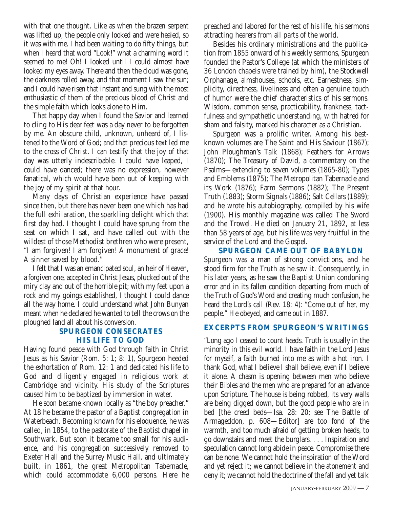with that one thought. Like as when the brazen serpent was lifted up, the people only looked and were healed, so it was with me. I had been waiting to do fifty things, but when I heard that word "Look!" what a charming word it seemed to me! Oh! I looked until I could almost have looked my eyes away. There and then the cloud was gone, the darkness rolled away, and that moment I saw the sun; and I could have risen that instant and sung with the most enthusiastic of them of the precious blood of Christ and the simple faith which looks alone to Him.

That happy day when I found the Savior and learned to cling to His dear feet was a day never to be forgotten by me. An obscure child, unknown, unheard of, I listened to the Word of God; and that precious text led me to the cross of Christ. I can testify that the joy of that day was utterly indescribable. I could have leaped, I could have danced; there was no expression, however fanatical, which would have been out of keeping with the joy of my spirit at that hour.

Many days of Christian experience have passed since then, but there has never been one which has had the full exhilaration, the sparkling delight which that first day had. I thought I could have sprung from the seat on which I sat, and have called out with the wildest of those Methodist brethren who were present, "I am forgiven! I am forgiven! A monument of grace! A sinner saved by blood."

I felt that I was an emancipated soul, an heir of Heaven, a forgiven one, accepted in Christ Jesus, plucked out of the miry clay and out of the horrible pit; with my feet upon a rock and my goings established, I thought I could dance all the way home. I could understand what John Bunyan meant when he declared he wanted to tell the crows on the ploughed land all about his conversion.

# **SPURGEON CONSECRATES HIS LIFE TO GOD**

Having found peace with God through faith in Christ Jesus as his Savior (Rom. 5: 1; 8: 1), Spurgeon heeded the exhortation of Rom. 12: 1 and dedicated his life to God and diligently engaged in religious work at Cambridge and vicinity. His study of the Scriptures caused him to be baptized by immersion in water.

He soon became known locally as "the boy preacher." At 18 he became the pastor of a Baptist congregation in Waterbeach. Becoming known for his eloquence, he was called, in 1854, to the pastorate of the Baptist chapel in Southwark. But soon it became too small for his audience, and his congregation successively removed to Exeter Hall and the Surrey Music Hall, and ultimately built, in 1861, the great Metropolitan Tabernacle, which could accommodate 6,000 persons. Here he preached and labored for the rest of his life, his sermons attracting hearers from all parts of the world.

Besides his ordinary ministrations and the publication from 1855 onward of his weekly sermons, Spurgeon founded the Pastor's College (at which the ministers of 36 London chapels were trained by him), the Stockwell Orphanage, almshouses, schools, etc. Earnestness, simplicity, directness, liveliness and often a genuine touch of humor were the chief characteristics of his sermons. Wisdom, common sense, practicability, frankness, tactfulness and sympathetic understanding, with hatred for sham and falsity, marked his character as a Christian.

Spurgeon was a prolific writer. Among his bestknown volumes are The Saint and His Saviour (1867); John Ploughman's Talk (1868); Feathers for Arrows (1870); The Treasury of David, a commentary on the Psalms—extending to seven volumes (1865-80); Types and Emblems (1875); The Metropolitan Tabernacle and its Work (1876); Farm Sermons (1882); The Present Truth (1883); Storm Signals (1886); Salt Cellars (1889); and he wrote his autobiography, compiled by his wife (1900). His monthly magazine was called The Sword and the Trowel. He died on January 21, 1892, at less than 58 years of age, but his life was very fruitful in the service of the Lord and the Gospel.

**SPURGEON CAME OUT OF BABYLON** Spurgeon was a man of strong convictions, and he stood firm for the Truth as he saw it. Consequently, in his later years, as he saw the Baptist Union condoning error and in its fallen condition departing from much of the Truth of God's Word and creating much confusion, he heard the Lord's call (Rev. 18: 4): "Come out of her, my people." He obeyed, and came out in 1887.

# **EXCERPTS FROM SPURGEON'S WRITINGS**

"Long ago I ceased to count heads. Truth is usually in the minority in this evil world. I have faith in the Lord Jesus for myself, a faith burned into me as with a hot iron. I thank God, what I believe I shall believe, even if I believe it alone. A chasm is opening between men who believe their Bibles and the men who are prepared for an advance upon Scripture. The house is being robbed, its very walls are being digged down, but the good people who are in bed [the creed beds—Isa. 28: 20; see The Battle of Armageddon, p. 608—Editor] are too fond of the warmth, and too much afraid of getting broken heads, to go downstairs and meet the burglars. . . . Inspiration and speculation cannot long abide in peace. Compromise there can be none. We cannot hold the inspiration of the Word and yet reject it; we cannot believe in the atonement and deny it; we cannot hold the doctrine of the fall and yet talk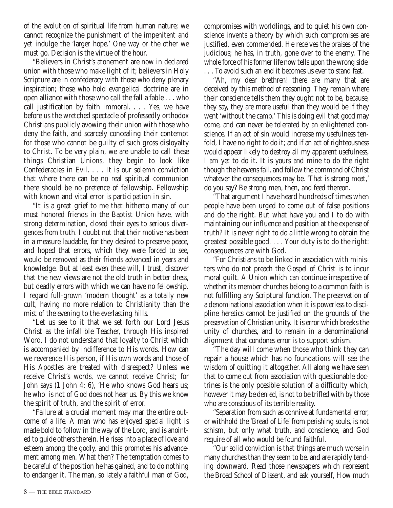of the evolution of spiritual life from human nature; we cannot recognize the punishment of the impenitent and yet indulge the 'larger hope.' One way or the other we must go. Decision is the virtue of the hour.

"Believers in Christ's atonement are now in declared union with those who make light of it; believers in Holy Scripture are in confederacy with those who deny plenary inspiration; those who hold evangelical doctrine are in open alliance with those who call the fall a fable . . . who call justification by faith immoral. . . . Yes, we have before us the wretched spectacle of professedly orthodox Christians publicly avowing their union with those who deny the faith, and scarcely concealing their contempt for those who cannot be guilty of such gross disloyalty to Christ. To be very plain, we are unable to call these things Christian Unions, they begin to look like Confederacies in Evil. . . . It is our solemn conviction that where there can be no real spiritual communion there should be no pretence of fellowship. Fellowship with known and vital error is participation in sin.

"It is a great grief to me that hitherto many of our most honored friends in the Baptist Union have, with strong determination, closed their eyes to serious divergences from truth. I doubt not that their motive has been in a measure laudable, for they desired to preserve peace, and hoped that errors, which they were forced to see, would be removed as their friends advanced in years and knowledge. But at least even these will, I trust, discover that the new views are not the old truth in better dress, but deadly errors with which we can have no fellowship. I regard full-grown 'modern thought' as a totally new cult, having no more relation to Christianity than the mist of the evening to the everlasting hills.

"Let us see to it that we set forth our Lord Jesus Christ as the infallible Teacher, through His inspired Word. I do not understand that loyalty to Christ which is accompanied by indifference to His words. How can we reverence His person, if His own words and those of His Apostles are treated with disrespect? Unless we receive Christ's words, we cannot receive Christ; for John says (1 John 4: 6), 'He who knows God hears us; he who is not of God does not hear us. By this we know the spirit of truth, and the spirit of error.

"Failure at a crucial moment may mar the entire outcome of a life. A man who has enjoyed special light is made bold to follow in the way of the Lord, and is anointed to guide others therein. He rises into a place of love and esteem among the godly, and this promotes his advancement among men. What then? The temptation comes to be careful of the position he has gained, and to do nothing to endanger it. The man, so lately a faithful man of God,

compromises with worldlings, and to quiet his own conscience invents a theory by which such compromises are justified, even commended. He receives the praises of the judicious; he has, in truth, gone over to the enemy. The whole force of his former life now tells upon the wrong side. . . . To avoid such an end it becomes us ever to stand fast.

"Ah, my dear brethren! there are many that are deceived by this method of reasoning. They remain where their conscience tells them they ought not to be, because, they say, they are more useful than they would be if they went 'without the camp.' This is doing evil that good may come, and can never be tolerated by an enlightened conscience. If an act of sin would increase my usefulness tenfold, I have no right to do it; and if an act of righteousness would appear likely to destroy all my apparent usefulness, I am yet to do it. It is yours and mine to do the right though the heavens fall, and follow the command of Christ whatever the consequences may be. 'That is strong meat,' do you say? Be strong men, then, and feed thereon.

"That argument I have heard hundreds of times when people have been urged to come out of false positions and do the right. But what have you and I to do with maintaining our influence and position at the expense of truth? It is never right to do a little wrong to obtain the greatest possible good. . . . Your duty is to do the right: consequences are with God.

"For Christians to be linked in association with ministers who do not preach the Gospel of Christ is to incur moral guilt. A Union which can continue irrespective of whether its member churches belong to a common faith is not fulfilling any Scriptural function. The preservation of a denominational association when it is powerless to discipline heretics cannot be justified on the grounds of the preservation of Christian unity. It is error which breaks the unity of churches, and to remain in a denominational alignment that condones error is to support schism.

"The day will come when those who think they can repair a house which has no foundations will see the wisdom of quitting it altogether. All along we have seen that to come out from association with questionable doctrines is the only possible solution of a difficulty which, however it may be denied, is not to be trifled with by those who are conscious of its terrible reality.

"Separation from such as connive at fundamental error, or withhold the 'Bread of Life' from perishing souls, is not schism, but only what truth, and conscience, and God require of all who would be found faithful.

"Our solid conviction is that things are much worse in many churches than they seem to be, and are rapidly tending downward. Read those newspapers which represent the Broad School of Dissent, and ask yourself, How much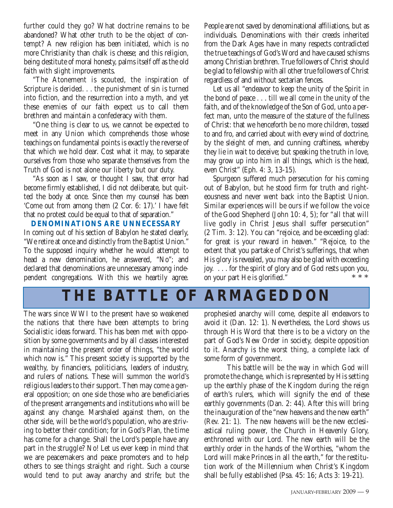further could they go? What doctrine remains to be abandoned? What other truth to be the object of contempt? A new religion has been initiated, which is no more Christianity than chalk is cheese; and this religion, being destitute of moral honesty, palms itself off as the old faith with slight improvements.

"The Atonement is scouted, the inspiration of Scripture is derided. . . the punishment of sin is turned into fiction, and the resurrection into a myth, and yet these enemies of our faith expect us to call them brethren and maintain a confederacy with them.

"One thing is clear to us, we cannot be expected to meet in any Union which comprehends those whose teachings on fundamental points is exactly the reverse of that which we hold dear. Cost what it may, to separate ourselves from those who separate themselves from the Truth of God is not alone our liberty but our duty.

"As soon as I saw, or thought I saw, that error had become firmly established, I did not deliberate, but quitted the body at once. Since then my counsel has been 'Come out from among them (2 Cor. 6: 17).' I have felt that no protest could be equal to that of separation."

**DENOMINATIONS ARE UNNECESSARY** In coming out of his section of Babylon he stated clearly, "We retire at once and distinctly from the Baptist Union." To the supposed inquiry whether he would attempt to head a new denomination, he answered, "No"; and declared that denominations are unnecessary among independent congregations. With this we heartily agree. People are not saved by denominational affiliations, but as individuals. Denominations with their creeds inherited from the Dark Ages have in many respects contradicted the true teachings of God's Word and have caused schisms among Christian brethren. True followers of Christ should be glad to fellowship with all other true followers of Christ regardless of and without sectarian fences.

Let us all "endeavor to keep the unity of the Spirit in the bond of peace . . . till we all come in the unity of the faith, and of the knowledge of the Son of God, unto a perfect man, unto the measure of the stature of the fullness of Christ: that we henceforth be no more children, tossed to and fro, and carried about with every wind of doctrine, by the sleight of men, and cunning craftiness, whereby they lie in wait to deceive; but speaking the truth in love, may grow up into him in all things, which is the head, even Christ" (Eph. 4: 3, 13-15).

Spurgeon suffered much persecution for his coming out of Babylon, but he stood firm for truth and righteousness and never went back into the Baptist Union. Similar experiences will be ours if we follow the voice of the Good Shepherd (John 10: 4, 5); for "all that will live godly in Christ Jesus shall suffer persecution" (2 Tim. 3: 12). You can "rejoice, and be exceeding glad: for great is your reward in heaven." "Rejoice, to the extent that you partake of Christ's sufferings, that when His glory is revealed, you may also be glad with exceeding joy. . . . for the spirit of glory and of God rests upon you, on your part He is glorified."

# **THE BATTLE OF ARMAGEDDON**

The wars since WWI to the present have so weakened the nations that there have been attempts to bring Socialistic ideas forward. This has been met with opposition by some governments and by all classes interested in maintaining the present order of things, "the world which now is." This present society is supported by the wealthy, by financiers, politicians, leaders of industry, and rulers of nations. These will summon the world's religious leaders to their support. Then may come a general opposition; on one side those who are beneficiaries of the present arrangements and institutions who will be against any change. Marshaled against them, on the other side, will be the world's population, who are striving to better their condition; for in God's Plan, the time has come for a change. Shall the Lord's people have any part in the struggle? No! Let us ever keep in mind that we are peacemakers and peace promoters and to help others to see things straight and right. Such a course would tend to put away anarchy and strife; but the

prophesied anarchy will come, despite all endeavors to avoid it (Dan. 12: 1). Nevertheless, the Lord shows us through His Word that there is to be a victory on the part of God's New Order in society, despite opposition to it. Anarchy is the worst thing, a complete lack of some form of government.

This battle will be the way in which God will promote the change, which is represented by His setting up the earthly phase of the Kingdom during the reign of earth's rulers, which will signify the end of these earthly governments (Dan. 2: 44). After this will bring the inauguration of the "new heavens and the new earth" (Rev. 21: 1). The new heavens will be the new ecclesiastical ruling power, the Church in Heavenly Glory, enthroned with our Lord. The new earth will be the earthly order in the hands of the Worthies, "whom the Lord will make Princes in all the earth," for the restitution work of the Millennium when Christ's Kingdom shall be fully established (Psa. 45: 16; Acts 3: 19-21).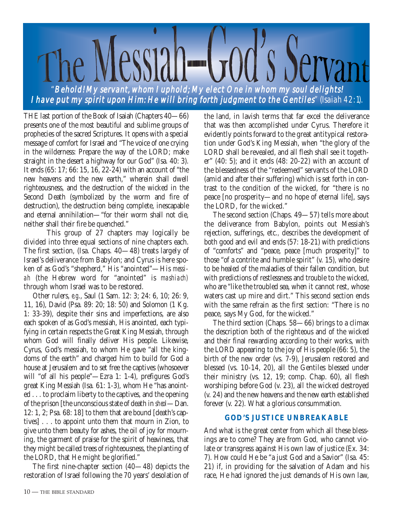

THE last portion of the Book of Isaiah (Chapters 40—66) presents one of the most beautiful and sublime groups of prophecies of the sacred Scriptures. It opens with a special message of comfort for Israel and "The voice of one crying in the wilderness: Prepare the way of the LORD; make straight in the desert a highway for our God" (Isa. 40: 3). It ends (65: 17; 66: 15, 16, 22-24) with an account of "the new heavens and the new earth," wherein shall dwell righteousness, and the destruction of the wicked in the Second Death (symbolized by the worm and fire of destruction), the destruction being complete, inescapable and eternal annihilation—"for their worm shall not die, neither shall their fire be quenched."

This group of 27 chapters may logically be divided into three equal sections of nine chapters each. The first section, (Isa. Chaps. 40—48) treats largely of Israel's deliverance from Babylon; and Cyrus is here spoken of as God's "shepherd," His "anointed"—His *messiah* (the Hebrew word for "anointed" is *mashiach)* through whom Israel was to be restored.

Other rulers, *e.g*., Saul (1 Sam. 12: 3; 24: 6, 10; 26: 9, 11, 16), David (Psa. 89: 20; 18: 50) and Solomon (1 Kg. 1: 33-39), despite their sins and imperfections, are also each spoken of as God's messiah, His anointed, each typifying in certain respects the Great King Messiah, through whom God will finally deliver His people. Likewise, Cyrus, God's messiah, to whom He gave "all the kingdoms of the earth" and charged him to build for God a house at Jerusalem and to set free the captives (whosoever will "of all his people"—Ezra 1: 1-4), prefigures God's great King Messiah (Isa. 61: 1-3), whom He "has anointed . . . to proclaim liberty to the captives, and the opening of the prison [the unconscious state of death in *sheol*—Dan. 12: 1, 2; Psa. 68: 18] to them that are bound [death's captives] . . . to appoint unto them that mourn in Zion, to give unto them beauty for ashes, the oil of joy for mourning, the garment of praise for the spirit of heaviness, that they might be called trees of righteousness, the planting of the LORD, that He might be glorified."

The first nine-chapter section (40—48) depicts the restoration of Israel following the 70 years' desolation of

the land, in lavish terms that far excel the deliverance that was then accomplished under Cyrus. Therefore it evidently points forward to the great antitypical restoration under God's King Messiah, when "the glory of the LORD shall be revealed, and all flesh shall see it together" (40: 5); and it ends (48: 20-22) with an account of the blessedness of the "redeemed" servants of the LORD (amid and after their suffering) which is set forth in contrast to the condition of the wicked, for "there is no peace [no prosperity—and no hope of eternal life], says the LORD, for the wicked."

The second section (Chaps. 49—57) tells more about the deliverance from Babylon, points out Messiah's rejection, sufferings, etc.*,* describes the development of both good and evil and ends (57: 18-21) with predictions of "comforts" and "peace, peace [much prosperity]" to those "of a contrite and humble spirit" (v. 15), who desire to be healed of the maladies of their fallen condition, but with predictions of restlessness and trouble to the wicked, who are "like the troubled sea, when it cannot rest, whose waters cast up mire and dirt." This second section ends with the same refrain as the first section: "There is no peace, says My God, for the wicked."

The third section (Chaps. 58—66) brings to a climax the description both of the righteous and of the wicked and their final rewarding according to their works, with the LORD appearing to the joy of His people (66: 5), the birth of the new order (vs. 7-9), Jerusalem restored and blessed (vs. 10-14, 20), all the Gentiles blessed under their ministry (vs. 12, 19; comp. Chap. 60), all flesh worshiping before God (v. 23), all the wicked destroyed (v. 24) and the new heavens and the new earth established forever (v. 22). What a glorious consummation.

# **GOD'S JUSTICE UNBREAKABLE**

And what is the great center from which all these blessings are to come? They are from God*,* who cannot violate or transgress against His own law of justice (Ex. 34: 7). How could He be "a just God and a Savior" (Isa. 45: 21) if, in providing for the salvation of Adam and his race, He had ignored the just demands of His own law,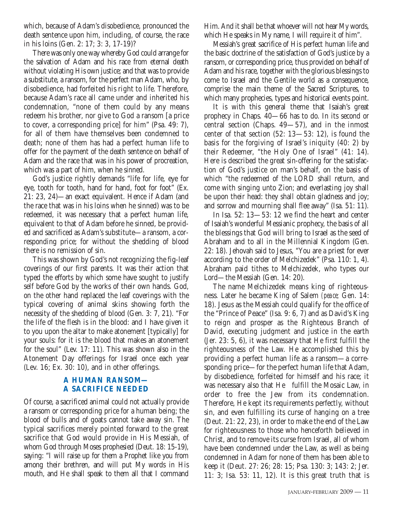which, because of Adam's disobedience, pronounced the death sentence upon him, including, of course, the race in his loins (Gen. 2: 17; 3: 3, 17-19)?

There was only one way whereby God could arrange for the salvation of Adam and his race from eternal death without violating His own justice; and that was to provide a substitute, a ransom, for the perfect man Adam, who, by disobedience, had forfeited his right to life. Therefore, because Adam's race all came under and inherited his condemnation, "none of them could by any means redeem his brother, nor give to God a ransom [a price to cover, a corresponding price] for him" (Psa. 49: 7), for all of them have themselves been condemned to death; none of them has had a perfect human life to offer for the payment of the death sentence on behalf of Adam and the race that was in his power of procreation, which was a part of him, when he sinned.

God's justice rightly demands "life for life, eye for eye, tooth for tooth, hand for hand, foot for foot" (Ex. 21: 23, 24)—an exact equivalent. Hence if Adam (and the race that was in his loins when he sinned) was to be redeemed, it was necessary that a perfect human life, equivalent to that of Adam before he sinned, be provided and sacrificed as Adam's substitute—a ransom, a corresponding price; for without the shedding of blood there is no remission of sin.

This was shown by God's not recognizing the fig-leaf coverings of our first parents. It was their action that typed the efforts by which some have sought to justify self before God by the works of their own hands. God, on the other hand replaced the leaf coverings with the typical covering of animal skins showing forth the necessity of the shedding of blood (Gen. 3: 7, 21). "For the life of the flesh is in the blood: and I have given it to you upon the altar to make atonement [typically] for your souls: for it is the blood that makes an atonement for the soul" (Lev. 17: 11). This was shown also in the Atonement Day offerings for Israel once each year (Lev. 16; Ex. 30: 10), and in other offerings.

# **A HUMAN RANSOM— A SACRIFICE NEEDED**

Of course, a sacrificed animal could not actually provide a ransom or corresponding price for a human being; the blood of bulls and of goats cannot take away sin. The typical sacrifices merely pointed forward to the great sacrifice that God would provide in His Messiah, of whom God through Moses prophesied (Deut. 18: 15-19), saying: "I will raise up for them a Prophet like you from among their brethren, and will put My words in His mouth, and He shall speak to them all that I command Him. And it shall be that whoever will not hear My words, which He speaks in My name, I will require it of him".

Messiah's great sacrifice of His perfect human life and the basic doctrine of the satisfaction of God's justice by a ransom, or corresponding price, thus provided on behalf of Adam and his race, together with the glorious blessings to come to Israel and the Gentile world as a consequence, comprise the main theme of the Sacred Scriptures, to which many prophecies, types and historical events point.

It is with this general theme that Isaiah's great prophecy in Chaps. 40—66 has to do. In its second or central section (Chaps. 49—57), and in the inmost center of that section (52: 13—53: 12), is found the basis for the forgiving of Israel's iniquity (40: 2) by their Redeemer, "the Holy One of Israel" (41: 14). Here is described the great sin-offering for the satisfaction of God's justice on man's behalf, on the basis of which "the redeemed of the LORD shall return, and come with singing unto Zion; and everlasting joy shall be upon their head: they shall obtain gladness and joy; and sorrow and mourning shall flee away" (Isa. 51: 11).

In Isa. 52: 13—53: 12 we find the heart and center of Isaiah's wonderful Messianic prophecy, the basis of all the blessings that God will bring to Israel as the seed of Abraham and to all in the Millennial Kingdom (Gen. 22: 18). Jehovah said to Jesus, "You are a priest for ever according to the order of Melchizedek" (Psa. 110: 1, 4). Abraham paid tithes to Melchizedek, who types our Lord—the Messiah (Gen. 14: 20).

The name Melchizedek means king of righteousness*.* Later he became King of Salem *(peace;* Gen. 14: 18). Jesus as the Messiah could qualify for the office of the "Prince of Peace" (Isa. 9: 6, 7) and as David's King to reign and prosper as the Righteous Branch of David, executing judgment and justice in the earth (Jer. 23: 5, 6), it was necessary that He first fulfill the righteousness of the Law. He accomplished this by providing a perfect human life as a ransom—a corresponding price—for the perfect human life that Adam, by disobedience, forfeited for himself and his race; it was necessary also that He fulfill the Mosaic Law, in order to free the Jew from its condemnation. Therefore, He kept its requirements perfectly, without sin, and even fulfilling its curse of hanging on a tree (Deut. 21: 22, 23), in order to make the end of the Law for righteousness to those who henceforth believed in Christ, and to remove its curse from Israel, all of whom have been condemned under the Law, as well as being condemned in Adam for none of them has been able to keep it (Deut. 27: 26; 28: 15; Psa. 130: 3; 143: 2; Jer. 11: 3; Isa. 53: 11, 12). It is this great truth that is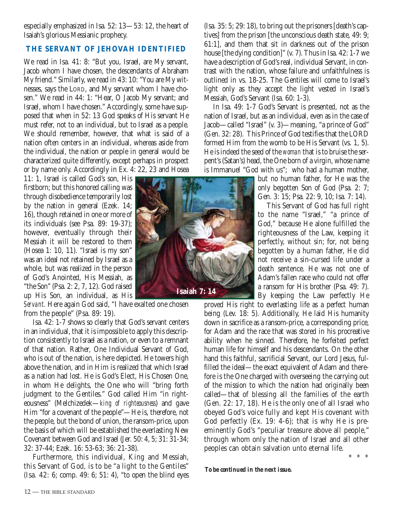especially emphasized in Isa. 52: 13—53: 12, the heart of Isaiah's glorious Messianic prophecy.

# **THE SERVANT OF JEHOVAH IDENTIFIED**

We read in Isa. 41: 8: "But you, Israel, are My servant, Jacob whom I have chosen, the descendants of Abraham My friend." Similarly, we read in 43: 10: "You are My witnesses, says the LORD, and My servant whom I have chosen." We read in 44: 1: "Hear, O Jacob My servant; and Israel, whom I have chosen." Accordingly, some have supposed that when in 52: 13 God speaks of His servant He must refer, not to an individual, but to Israel as a people. We should remember, however, that what is said of a nation often centers in an individual, whereas aside from the individual, the nation or people in general would be characterized quite differently, except perhaps in prospect or by name only. Accordingly in Ex. 4: 22, 23 and Hosea

11: 1, Israel is called God's son, His firstborn; but this honored calling was through disobedience temporarily lost by the nation in general (Ezek. 14; 16), though retained in one or more of its individuals (see Psa. 89: 19-37); however, eventually through their Messiah it will be restored to them (Hosea 1: 10, 11). "Israel is my son" was an ideal not retained by Israel as a whole, but was realized in the person of God's Anointed, His Messiah, as "the Son" (Psa. 2: 2, 7, 12). God raised up His Son, an individual, as His

*Servant.* Here again God said, "I have exalted one chosen from the people" (Psa. 89: 19).

Isa. 42: 1-7 shows so clearly that God's servant centers in an individual, that it is impossible to apply this description consistently to Israel as a nation, or even to a remnant of that nation. Rather, One Individual Servant of God, who is out of the nation, is here depicted. He towers high above the nation, and in Him is realized that which Israel as a nation had lost. He is God's Elect, His Chosen One, in whom He delights, the One who will "bring forth judgment to the Gentiles." God called Him "in righteousness" (Melchizedek—*king of righteousness*) and gave Him "for a covenant of the people"—He is, therefore, not the people, but the bond of union, the ransom-price, upon the basis of which will be established the everlasting New Covenant between God and Israel (Jer. 50: 4, 5; 31: 31-34; 32: 37-44; Ezek. 16: 53-63; 36: 21-38).

Furthermore, this individual, King and Messiah, this Servant of God, is to be "a light to the Gentiles" (Isa. 42: 6; comp. 49: 6; 51: 4), "to open the blind eyes

(Isa. 35: 5; 29: 18), to bring out the prisoners [death's captives] from the prison [the unconscious death state, 49: 9; 61:1], and them that sit in darkness out of the prison house [the dying condition]" (v. 7). Thus in Isa. 42: 1-7 we have a description of God's real, individual Servant, in contrast with the nation, whose failure and unfaithfulness is outlined in vs. 18-25. The Gentiles will come to Israel's light only as they accept the light vested in Israel's Messiah, God's Servant (Isa. 60: 1-3).

In Isa. 49: 1-7 God's Servant is presented, not as the nation of Israel, but as an individual, even as in the case of Jacob—called "Israel" (v. 3)—meaning, "a prince of God" (Gen. 32: 28). This Prince of God testifies that the LORD formed Him from the womb to be His Servant (vs. 1, 5). He is indeed the seed of the *woman* that is to bruise the serpent's (Satan's) head, the One born of a virgin, whose name is Immanuel "God with us"; who had a human mother,

> but no human father, for He was the only begotten Son of God (Psa. 2: 7; Gen. 3: 15; Psa. 22: 9, 10; Isa. 7: 14).

This Servant of God has full right to the name "Israel," "a prince of God," because He alone fulfilled the righteousness of the Law, keeping it perfectly, without sin; for, not being begotten by a human father, He did not receive a sin-cursed life under a death sentence. He was not one of Adam's fallen race who could not offer a ransom for His brother (Psa. 49: 7). By keeping the Law perfectly He

\*\*\*

proved His right to everlasting life as a perfect human being (Lev. 18: 5). Additionally, He laid His humanity down in sacrifice as a ransom-price, a corresponding price, for Adam and the race that was stored in his procreative ability when he sinned. Therefore, he forfeited perfect human life for himself and his descendants. On the other hand this faithful, sacrificial Servant, our Lord Jesus, fulfilled the ideal—the exact equivalent of Adam and therefore is the One charged with overseeing the carrying out of the mission to which the nation had originally been called—that of blessing all the families of the earth (Gen. 22: 17, 18). He is the only one of all Israel who obeyed God's voice fully and kept His covenant with God perfectly (Ex. 19: 4-6); that is why He is preeminently God's "peculiar treasure above all people," through whom only the nation of Israel and all other peoples can obtain salvation unto eternal life.

*To be continued in the next issue.*

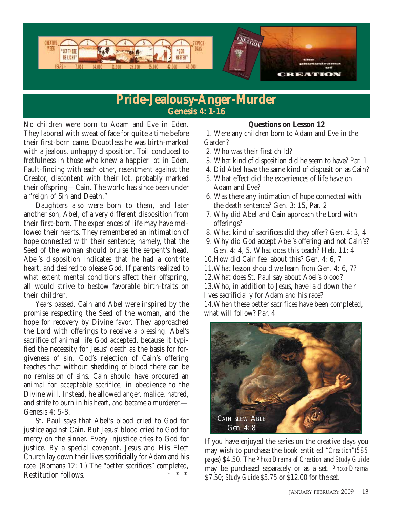

# **Pride-Jealousy-Anger-Murder Genesis 4: 1-16**

No children were born to Adam and Eve in Eden. They labored with sweat of face for quite a time before their first-born came. Doubtless he was birth-marked with a jealous, unhappy disposition. Toil conduced to fretfulness in those who knew a happier lot in Eden. Fault-finding with each other, resentment against the Creator, discontent with their lot, probably marked their offspring—Cain. The world has since been under a "reign of Sin and Death."

Daughters also were born to them, and later another son, Abel, of a very different disposition from their first-born. The experiences of life may have mellowed their hearts. They remembered an intimation of hope connected with their sentence; namely, that the Seed of the woman should bruise the serpent's head. Abel's disposition indicates that he had a contrite heart, and desired to please God. If parents realized to what extent mental conditions affect their offspring, all would strive to bestow favorable birth-traits on their children.

Years passed. Cain and Abel were inspired by the promise respecting the Seed of the woman, and the hope for recovery by Divine favor. They approached the Lord with offerings to receive a blessing. Abel's sacrifice of animal life God accepted, because it typified the necessity for Jesus' death as the basis for forgiveness of sin. God's rejection of Cain's offering teaches that without shedding of blood there can be no remission of sins. Cain should have procured an animal for acceptable sacrifice, in obedience to the Divine will. Instead, he allowed anger, malice, hatred, and strife to burn in his heart, and became a murderer.— Genesis 4: 5-8.

St. Paul says that Abel's blood cried to God for justice against Cain. But Jesus' blood cried to God for mercy on the sinner. Every injustice cries to God for justice. By a special covenant, Jesus and His Elect Church lay down their lives sacrificially for Adam and his race. (Romans 12: 1.) The "better sacrifices" completed, Restitution follows.

#### **Questions on Lesson 12**

1. Were any children born to Adam and Eve in the Garden?

- 2. Who was their first child?
- 3. What kind of disposition did he seem to have? Par. 1
- 4. Did Abel have the same kind of disposition as Cain?
- 5. What effect did the experiences of life have on Adam and Eve?
- 6. Was there any intimation of hope connected with the death sentence? Gen. 3: 15, Par. 2
- 7. Why did Abel and Cain approach the Lord with offerings?
- 8. What kind of sacrifices did they offer? Gen. 4: 3, 4
- 9. Why did God accept Abel's offering and not Cain's? Gen. 4: 4, 5. What does this teach? Heb. 11: 4
- 10.How did Cain feel about this? Gen. 4: 6, 7
- 11.What lesson should we learn from Gen. 4: 6, 7?
- 12.What does St. Paul say about Abel's blood?

13.Who, in addition to Jesus, have laid down their lives sacrificially for Adam and his race?

14.When these better sacrifices have been completed, what will follow? Par. 4



If you have enjoyed the series on the creative days you may wish to purchase the book entitled "*Creation*"(*585 pages*) \$4.50. The *Photo Drama of Creation* and *Study Guide* may be purchased separately or as a set. *Photo-Drama* \$7.50; *Study Guide* \$5.75 or \$12.00 for the set.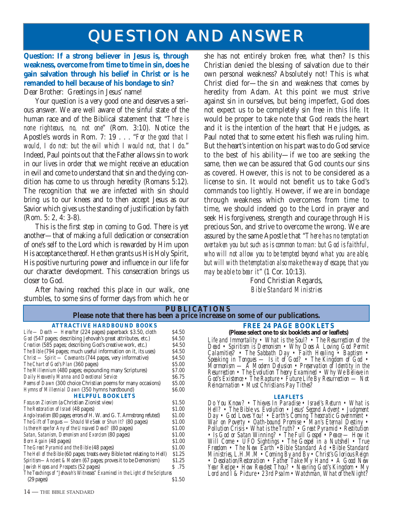# QUESTION AND ANSWER QUESTION AND ANSWER

**Question: If a strong believer in Jesus is, through weakness, overcome from time to time in sin, does he gain salvation through his belief in Christ or is he remanded to hell because of his bondage to sin?** Dear Brother: Greetings in Jesus' name!

Your question is a very good one and deserves a serious answer. We are well aware of the sinful state of the human race and of the Biblical statement that "*There is none righteous, no, not one*" (Rom. 3:10). Notice the Apostle's words in Rom. 7: 19 . . . "*For the good that I would, I do not: but the evil which I would not, that I do*." Indeed, Paul points out that the Father allows sin to work in our lives in order that we might receive an education in evil and come to understand that sin and the dying condition has come to us through heredity (Romans 5:12). The recognition that we are infected with sin should bring us to our knees and to then accept Jesus as our Savior which gives us the standing of justification by faith (Rom. 5: 2, 4: 3-8).

This is the first step in coming to God. There is yet another—that of making a full dedication or consecration of one's self to the Lord which is rewarded by Him upon His acceptance thereof. He then grants us His Holy Spirit, His positive nurturing power and influence in our life for our character development. This consecration brings us closer to God.

After having reached this place in our walk, one stumbles, to some sins of former days from which he or she has not entirely broken free, what then? Is this Christian denied the blessing of salvation due to their own personal weakness? Absolutely not! This is what Christ died for—the sin and weakness that comes by heredity from Adam. At this point we must strive against sin in ourselves, but being imperfect, God does not expect us to be completely sin free in this life. It would be proper to take note that God reads the heart and it is the intention of the heart that He judges, as Paul noted that to some extent his flesh was ruling him. But the heart's intention on his part was to do God service to the best of his ability—if we too are seeking the same, then we can be assured that God counts our sins as covered. However, this is not to be considered as a license to sin. It would not benefit us to take God's commands too lightly. However, if we are in bondage through weakness which overcomes from time to time, we should indeed go to the Lord in prayer and seek His forgiveness, strength and courage through His precious Son, and strive to overcome the wrong. We are assured by the same Apostle that "*There has no temptation overtaken you but such as is common to man: but God is faithful, who will not allow you to be tempted beyond what you are able, but will with the temptation also make the way of escape, that you may be able to bear it*" (1 Cor. 10:13).

Fond Christian Regards, *Bible Standard Ministries*

| <b>PUBLICATIONS</b><br>Please note that there has been a price increase on some of our publications.                                                                                                                                                                                                                                                                                                                                                                                                                                                                                                                                                                                                                                                                                                       |                                                                                                                                 |                                                                                                                                                                                                                                                                                                                                                                                                                                                                                                                                                                                                                                                                                                                                                                                                                                 |  |
|------------------------------------------------------------------------------------------------------------------------------------------------------------------------------------------------------------------------------------------------------------------------------------------------------------------------------------------------------------------------------------------------------------------------------------------------------------------------------------------------------------------------------------------------------------------------------------------------------------------------------------------------------------------------------------------------------------------------------------------------------------------------------------------------------------|---------------------------------------------------------------------------------------------------------------------------------|---------------------------------------------------------------------------------------------------------------------------------------------------------------------------------------------------------------------------------------------------------------------------------------------------------------------------------------------------------------------------------------------------------------------------------------------------------------------------------------------------------------------------------------------------------------------------------------------------------------------------------------------------------------------------------------------------------------------------------------------------------------------------------------------------------------------------------|--|
| <b>ATTRACTIVE HARDBOUND BOOKS</b><br>Life — Death — Hereafter (224 pages) paperback \$3.50, cloth<br>God (547 pages; describing Jehovah's great attributes, etc.)<br>Creation (585 pages; describing God's creative work, etc.)<br>The Bible (794 pages; much useful information on it, its uses)<br>Christ - Spirit - Covenants (744 pages, very informative)<br>The Chart of God's Plan (360 pages)<br>The Millennium (480 pages; expounding many Scriptures)<br>Daily Heavenly Manna and Devotional Service<br>Poems of Dawn (300 choice Christian poems for many occasions)                                                                                                                                                                                                                            | \$4.50<br>\$4.50<br>\$4.50<br>\$4.50<br>\$4.50<br>\$5.00<br>\$7.00<br>\$6.75<br>\$5.00                                          | <b>FREE 24 PAGE BOOKLETS</b><br>(Please select one to six booklets and or leaflets)<br>Life and Immortality . What is the Soul? . The Resurrection of the<br>Dead • Spiritism is Demonism • Why Does A Loving God Permit<br>Calamities? • The Sabbath Day • Faith Healing • Baptism • Speaking in Tongues — Is it of God? • The Kingdom of God<br>Mormonism $-$ A Modern Delusion • Preservation of Identity in the<br>Resurrection • The Evolution Theory Examined • Why We Believe in<br>God's Existence • The Rapture • Future Life By Resurrection $-$ Not<br>Reincarnation • Must Christians Pay Tithes?                                                                                                                                                                                                                   |  |
| Hymns of Millennial Dawn (350 hymns hardbound)<br><b>HELPFUL BOOKLETS</b><br>Focus on Zionism (a Christian Zionist view)<br>The Restoration of Israel (48 pages)<br>Anglo-Israelism (80 pages; errors of H. W. and G. T. Armstrong refuted)<br>The Gift of Tongues - Should We Seek or Shun It? (80 pages)<br>Is there Hope for Any of the Unsaved Dead? (80 pages)<br>Satan, Satanism, Demonism and Exorcism (80 pages)<br><i>Born Again</i> (48 pages)<br>The Great Pyramid and the Bible (48 pages)<br>The Hell of the Bible (60 pages; treats every Bible text relating to Hell)<br>Spiritism-Ancient & Modern (67 pages; proves it to be Demonism)<br>Jewish Hopes and Prospects (52 pages)<br>The Teachings of "Jehovah's Witnesses" Examined in the Light of the Scriptures<br>$(29 \text{ pages})$ | \$6.00<br>\$1.50<br>\$1.00<br>\$1.00<br>\$1.00<br>\$1.00<br>\$1.00<br>\$1.00<br>\$1.00<br>\$1.25<br>\$1.25<br>$S$ .75<br>\$1.50 | <b>LEAFLETS</b><br>Do You Know? • Thieves In Paradise • Israel's Return • What is<br>Hell? • The Bible vs. Evolution • Jesus' Second Advent • Judgment<br>Day • God Loves You! • Earth's Coming Theoratic Government • War on Poverty • Oath-bound Promise • Man's Eternal Destiny •<br>Pollution Crisis • What is the Truth? • Great Pyramid • Restitution<br>• Is God or Satan Winning? • The Full Gospel • Peace — How it<br>Will Come • UFO Sightings • The Gospel in a Nutshell • True<br>Freedom • The New Earth • Bible Standard Ad • Bible Standard<br>Ministries, L.H.M.M • Coming By and By • Christ's Glorious Reign<br>• Desolation/Restoration • Father Take My Hand • A Good New<br>Year Recipe • How Readest Thou? • Nearing God's Kingdom • My Lord and I & Picture • 23rd Psalm • Watchman, What of the Night? |  |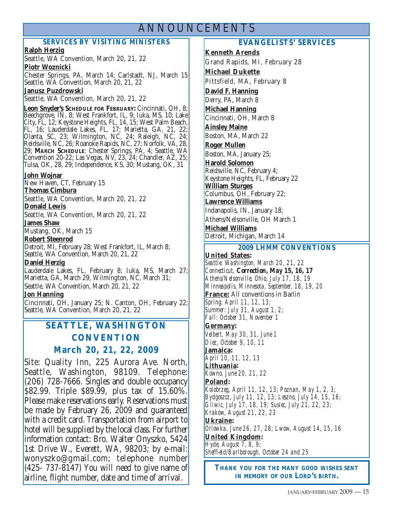# ANNOUNCEMENTS

# **SERVICES BY VISITING MINISTERS**

#### **Ralph Herzig**

Seattle, WA Convention, March 20, 21, 22

**Piotr Woznicki**

Chester Springs, PA, March 14; Carlstadt, NJ, March 15 Seattle, WA Convention, March 20, 21, 22

**Janusz Puzdrowski**

Seattle, WA Convention, March 20, 21, 22

**Leon Snyder's SCHEDULE FOR FEBRUARY:** Cincinnati, OH, 8; Beechgrove, IN, 8; West Frankfort, IL, 9; Iuka, MS, 10; Lake City, FL, 12; Keystone Heights, FL, 14, 15; West Palm Beach, FL, 16; Lauderdale Lakes, FL, 17; Marietta, GA, 21, 22; Olanta, SC, 23; Wilmington, NC, 24; Raleigh, NC, 24; Reidsville, NC, 26; Roanoke Rapids, NC, 27; Norfolk, VA, 28, 29; **MARCH SCHEDULE**: Chester Springs, PA, 4; Seattle, WA Convention 20-22; Las Vegas, NV, 23, 24; Chandler, AZ, 25; Tulsa, OK, 28, 29; Independence, KS, 30; Mustang, OK, 31

#### **John Wojnar**

New Haven, CT, February 15 **Thomas Cimbura** Seattle, WA Convention, March 20, 21, 22 **Donald Lewis**

Seattle, WA Convention, March 20, 21, 22

**James Shaw**

Mustang, OK, March 15

**Robert Steenrod**

Detroit, MI, February 28; West Frankfort, IL, March 8; Seattle, WA Convention, March 20, 21, 22

# **Daniel Herzig**

Lauderdale Lakes, FL, February 8; Iuka, MS, March 27; Marietta, GA, March 29, Wilmington, NC, March 31; Seattle, WA Convention, March 20, 21, 22

# **Jon Hanning**

Cincinnati, OH, January 25; N. Canton, OH, February 22; Seattle, WA Convention, March 20, 21, 22

# **SEATTLE, WASHINGTON CONVENTION March 20, 21, 22, 2009**

Site: Quality Inn, 225 Aurora Ave. North, Seattle, Washington, 98109. Telephone: (206) 728-7666. Singles and double occupancy \$82.99. Triple \$89.99, plus tax of 15.60%. Please make reservations early. Reservations must be made by February 26, 2009 and guaranteed with a credit card. Transportation from airport to hotel will be supplied by the local class. For further information contact: Bro. Walter Onyszko, 5424 1st Drive W., Everett, WA, 98203; by e-mail: wonyszko@gmail.com; telephone number  $(425 - 737 - 8147)$  You will need to give name of airline, flight number, date and time of arrival.

# **EVANGELISTS' SERVICES**

**Kenneth Arends** Grand Rapids, MI, February 28 **Michael Dukette** Pittsfield, MA, February 8 **David F. Hanning** Derry, PA, March 8 **Michael Hanning** Cincinnati, OH, March 8 **Ainsley Maine** Boston, MA, March 22 **Roger Mullen** Boston, MA, January 25; **Harold Solomon** Reidsville, NC, February 4; Keystone Heights, FL, February 22 **William Sturges** Columbus, OH, February 22; **Lawrence Williams** Indanapolis, IN, January 18; Athens/Nelsonville, OH March 1 **Michael Williams** Detroit, Michigan, March 14

#### **2009 LHMM CONVENTIONS**

**United States:**  *Seattle. Washington, March 20, 21, 22 Connecticut, Correction, May 15, 16, 17 Athens/Nelsonville, Ohio, July 17, 18, 19 Minneapolis, Minnesota, September, 18, 19, 20* **France:** All conventions in Barlin *Spring: April 11, 12, 13; Summer: July 31, August 1, 2; Fall: October 31, November 1* **Germany:**  *Velbert, May 30, 31, June 1 Diez, October 9, 10, 11* **Jamaica:**  *April 10, 11, 12, 13* **Lithuania:** *Kowno, June 20, 21, 22* **Poland:** *Kolobrzeg, April 11, 12, 13; Poznan, May 1, 2, 3; Bydgoszcz, July 11, 12, 13; Leszno, July 14, 15, 16; Gliwic, July 17, 18, 19; Susiec, July 21, 22, 23; Krakow, August 21, 22, 23* **Ukraine:** *Orlowka, June 26, 27, 28; Lwow, August 14, 15, 16* **United Kingdom:**  *Hyde, August 7, 8, 9; Sheffield/Barlborough, October 24 and 25*

**THANK YOU FOR THE MANY GOOD WISHES SENT IN MEMORY OF OUR LORD'S BIRTH.**